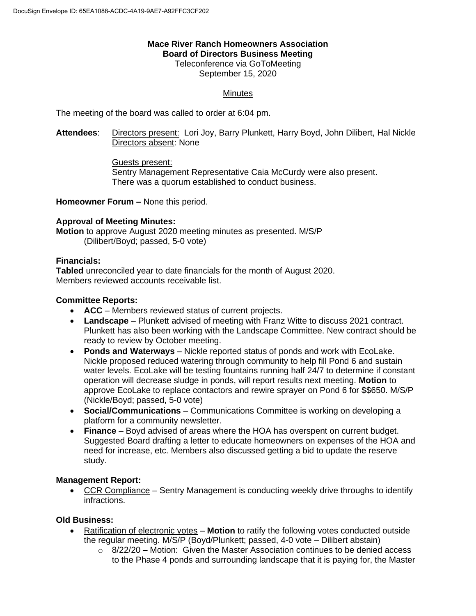# **Mace River Ranch Homeowners Association Board of Directors Business Meeting**

Teleconference via GoToMeeting September 15, 2020

# **Minutes**

The meeting of the board was called to order at 6:04 pm.

**Attendees**: Directors present: Lori Joy, Barry Plunkett, Harry Boyd, John Dilibert, Hal Nickle Directors absent: None

> Guests present: Sentry Management Representative Caia McCurdy were also present. There was a quorum established to conduct business.

**Homeowner Forum –** None this period.

## **Approval of Meeting Minutes:**

**Motion** to approve August 2020 meeting minutes as presented. M/S/P (Dilibert/Boyd; passed, 5-0 vote)

#### **Financials:**

**Tabled** unreconciled year to date financials for the month of August 2020. Members reviewed accounts receivable list.

## **Committee Reports:**

- **ACC** Members reviewed status of current projects.
- **Landscape** Plunkett advised of meeting with Franz Witte to discuss 2021 contract. Plunkett has also been working with the Landscape Committee. New contract should be ready to review by October meeting.
- **Ponds and Waterways** Nickle reported status of ponds and work with EcoLake. Nickle proposed reduced watering through community to help fill Pond 6 and sustain water levels. EcoLake will be testing fountains running half 24/7 to determine if constant operation will decrease sludge in ponds, will report results next meeting. **Motion** to approve EcoLake to replace contactors and rewire sprayer on Pond 6 for \$\$650. M/S/P (Nickle/Boyd; passed, 5-0 vote)
- **Social/Communications** Communications Committee is working on developing a platform for a community newsletter.
- **Finance** Boyd advised of areas where the HOA has overspent on current budget. Suggested Board drafting a letter to educate homeowners on expenses of the HOA and need for increase, etc. Members also discussed getting a bid to update the reserve study.

#### **Management Report:**

• CCR Compliance – Sentry Management is conducting weekly drive throughs to identify infractions.

#### **Old Business:**

- Ratification of electronic votes **Motion** to ratify the following votes conducted outside the regular meeting. M/S/P (Boyd/Plunkett; passed, 4-0 vote – Dilibert abstain)
	- $\circ$  8/22/20 Motion: Given the Master Association continues to be denied access to the Phase 4 ponds and surrounding landscape that it is paying for, the Master